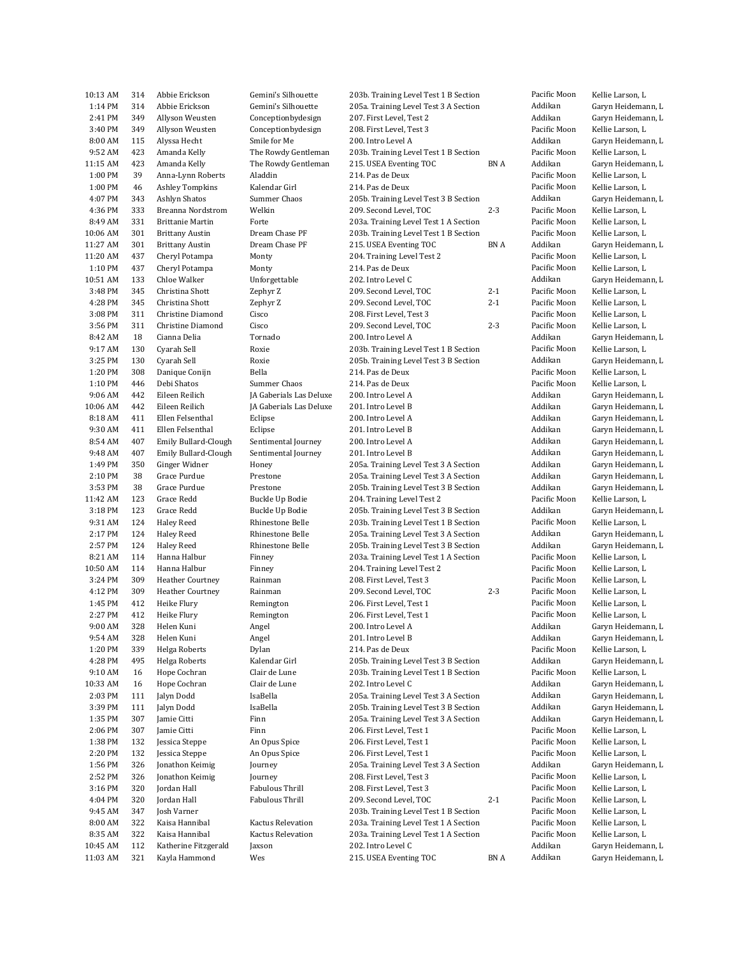| 10:13 AM | 314 | Abbie Erickson                               | Gemini's Silhouette     | 203b. Training Level Test 1 B Section |         | Pacific Moon | Kellie Larson, L   |
|----------|-----|----------------------------------------------|-------------------------|---------------------------------------|---------|--------------|--------------------|
| 1:14 PM  | 314 | Abbie Erickson                               | Gemini's Silhouette     | 205a. Training Level Test 3 A Section |         | Addikan      | Garyn Heidemann, L |
| 2:41 PM  | 349 | Allyson Weusten                              | Conceptionbydesign      | 207. First Level, Test 2              |         | Addikan      | Garyn Heidemann, L |
| 3:40 PM  | 349 | Allyson Weusten                              | Conceptionbydesign      | 208. First Level, Test 3              |         | Pacific Moon | Kellie Larson, L   |
| 8:00 AM  | 115 | Alyssa Hecht                                 | Smile for Me            | 200. Intro Level A                    |         | Addikan      | Garyn Heidemann, L |
| 9:52 AM  | 423 | Amanda Kelly                                 | The Rowdy Gentleman     | 203b. Training Level Test 1 B Section |         | Pacific Moon | Kellie Larson, L   |
| 11:15 AM | 423 | Amanda Kelly                                 | The Rowdy Gentleman     | 215. USEA Eventing TOC                | BN A    | Addikan      | Garyn Heidemann, L |
| 1:00 PM  | 39  | Anna-Lynn Roberts                            | Aladdin                 | 214. Pas de Deux                      |         | Pacific Moon | Kellie Larson, L   |
| 1:00 PM  | 46  | Ashley Tompkins                              | Kalendar Girl           | 214. Pas de Deux                      |         | Pacific Moon | Kellie Larson, L   |
| 4:07 PM  | 343 | Ashlyn Shatos                                | Summer Chaos            | 205b. Training Level Test 3 B Section |         | Addikan      | Garyn Heidemann, L |
|          | 333 |                                              | Welkin                  |                                       | $2 - 3$ | Pacific Moon |                    |
| 4:36 PM  |     | Breanna Nordstrom<br><b>Brittanie Martin</b> |                         | 209. Second Level, TOC                |         |              | Kellie Larson, L   |
| 8:49 AM  | 331 |                                              | Forte                   | 203a. Training Level Test 1 A Section |         | Pacific Moon | Kellie Larson, L   |
| 10:06 AM | 301 | <b>Brittany Austin</b>                       | Dream Chase PF          | 203b. Training Level Test 1 B Section |         | Pacific Moon | Kellie Larson, L   |
| 11:27 AM | 301 | <b>Brittany Austin</b>                       | Dream Chase PF          | 215. USEA Eventing TOC                | BN A    | Addikan      | Garyn Heidemann, L |
| 11:20 AM | 437 | Cheryl Potampa                               | Monty                   | 204. Training Level Test 2            |         | Pacific Moon | Kellie Larson, L   |
| 1:10 PM  | 437 | Cheryl Potampa                               | Monty                   | 214. Pas de Deux                      |         | Pacific Moon | Kellie Larson, L   |
| 10:51 AM | 133 | Chloe Walker                                 | Unforgettable           | 202. Intro Level C                    |         | Addikan      | Garyn Heidemann, L |
| 3:48 PM  | 345 | Christina Shott                              | Zephyr Z                | 209. Second Level, TOC                | $2 - 1$ | Pacific Moon | Kellie Larson, L   |
| 4:28 PM  | 345 | Christina Shott                              | Zephyr Z                | 209. Second Level, TOC                | $2 - 1$ | Pacific Moon | Kellie Larson, L   |
| 3:08 PM  | 311 | Christine Diamond                            | Cisco                   | 208. First Level, Test 3              |         | Pacific Moon | Kellie Larson, L   |
| 3:56 PM  | 311 | Christine Diamond                            | Cisco                   | 209. Second Level, TOC                | $2 - 3$ | Pacific Moon | Kellie Larson, L   |
| 8:42 AM  | 18  | Cianna Delia                                 | Tornado                 | 200. Intro Level A                    |         | Addikan      | Garyn Heidemann, L |
| 9:17 AM  | 130 | Cyarah Sell                                  | Roxie                   | 203b. Training Level Test 1 B Section |         | Pacific Moon | Kellie Larson, L   |
| 3:25 PM  | 130 | Cyarah Sell                                  | Roxie                   | 205b. Training Level Test 3 B Section |         | Addikan      | Garyn Heidemann, L |
| 1:20 PM  | 308 | Danique Conijn                               | Bella                   | 214. Pas de Deux                      |         | Pacific Moon | Kellie Larson, L   |
| 1:10 PM  | 446 | Debi Shatos                                  | Summer Chaos            | 214. Pas de Deux                      |         | Pacific Moon | Kellie Larson, L   |
| 9:06 AM  | 442 | Eileen Reilich                               | JA Gaberials Las Deluxe | 200. Intro Level A                    |         | Addikan      | Garyn Heidemann, L |
| 10:06 AM | 442 | Eileen Reilich                               |                         |                                       |         | Addikan      |                    |
|          |     |                                              | JA Gaberials Las Deluxe | 201. Intro Level B                    |         |              | Garyn Heidemann, L |
| 8:18 AM  | 411 | Ellen Felsenthal                             | Eclipse                 | 200. Intro Level A                    |         | Addikan      | Garyn Heidemann, L |
| 9:30 AM  | 411 | Ellen Felsenthal                             | Eclipse                 | 201. Intro Level B                    |         | Addikan      | Garyn Heidemann, L |
| 8:54 AM  | 407 | Emily Bullard-Clough                         | Sentimental Journey     | 200. Intro Level A                    |         | Addikan      | Garyn Heidemann, L |
| 9:48 AM  | 407 | Emily Bullard-Clough                         | Sentimental Journey     | 201. Intro Level B                    |         | Addikan      | Garyn Heidemann, L |
| 1:49 PM  | 350 | Ginger Widner                                | Honey                   | 205a. Training Level Test 3 A Section |         | Addikan      | Garyn Heidemann, L |
| 2:10 PM  | 38  | Grace Purdue                                 | Prestone                | 205a. Training Level Test 3 A Section |         | Addikan      | Garyn Heidemann, L |
| 3:53 PM  | 38  | Grace Purdue                                 | Prestone                | 205b. Training Level Test 3 B Section |         | Addikan      | Garyn Heidemann, L |
| 11:42 AM | 123 | Grace Redd                                   | Buckle Up Bodie         | 204. Training Level Test 2            |         | Pacific Moon | Kellie Larson, L   |
| 3:18 PM  | 123 | Grace Redd                                   | Buckle Up Bodie         | 205b. Training Level Test 3 B Section |         | Addikan      | Garyn Heidemann, L |
| 9:31 AM  | 124 | Haley Reed                                   | Rhinestone Belle        | 203b. Training Level Test 1 B Section |         | Pacific Moon | Kellie Larson, L   |
| 2:17 PM  | 124 | <b>Haley Reed</b>                            | Rhinestone Belle        | 205a. Training Level Test 3 A Section |         | Addikan      | Garyn Heidemann, L |
| 2:57 PM  | 124 | <b>Haley Reed</b>                            | Rhinestone Belle        | 205b. Training Level Test 3 B Section |         | Addikan      | Garyn Heidemann, L |
| 8:21 AM  | 114 | Hanna Halbur                                 | Finney                  | 203a. Training Level Test 1 A Section |         | Pacific Moon | Kellie Larson, L   |
| 10:50 AM | 114 | Hanna Halbur                                 | Finney                  | 204. Training Level Test 2            |         | Pacific Moon | Kellie Larson, L   |
| 3:24 PM  | 309 | <b>Heather Courtney</b>                      | Rainman                 | 208. First Level, Test 3              |         | Pacific Moon | Kellie Larson, L   |
| 4:12 PM  | 309 | <b>Heather Courtney</b>                      | Rainman                 | 209. Second Level, TOC                | $2 - 3$ | Pacific Moon | Kellie Larson, L   |
| 1:45 PM  | 412 | Heike Flury                                  |                         | 206. First Level, Test 1              |         | Pacific Moon | Kellie Larson, L   |
| 2:27 PM  |     |                                              | Remington               |                                       |         |              |                    |
|          | 412 | Heike Flury                                  | Remington               | 206. First Level, Test 1              |         | Pacific Moon | Kellie Larson, L   |
| 9:00 AM  | 328 | Helen Kuni                                   | Angel                   | 200. Intro Level A                    |         | Addikan      | Garyn Heidemann, L |
| 9:54 AM  | 328 | Helen Kuni                                   | Angel                   | 201. Intro Level B                    |         | Addikan      | Garyn Heidemann, L |
| 1:20 PM  | 339 | Helga Roberts                                | Dylan                   | 214. Pas de Deux                      |         | Pacific Moon | Kellie Larson, L   |
| 4:28 PM  | 495 | Helga Roberts                                | Kalendar Girl           | 205b. Training Level Test 3 B Section |         | Addikan      | Garyn Heidemann, L |
| 9:10 AM  | 16  | Hope Cochran                                 | Clair de Lune           | 203b. Training Level Test 1 B Section |         | Pacific Moon | Kellie Larson, L   |
| 10:33 AM | 16  | Hope Cochran                                 | Clair de Lune           | 202. Intro Level C                    |         | Addikan      | Garyn Heidemann, L |
| 2:03 PM  | 111 | Jalyn Dodd                                   | IsaBella                | 205a. Training Level Test 3 A Section |         | Addikan      | Garyn Heidemann, L |
| 3:39 PM  | 111 | Jalyn Dodd                                   | IsaBella                | 205b. Training Level Test 3 B Section |         | Addikan      | Garyn Heidemann, L |
| 1:35 PM  | 307 | Jamie Citti                                  | Finn                    | 205a. Training Level Test 3 A Section |         | Addikan      | Garyn Heidemann, L |
| 2:06 PM  | 307 | Jamie Citti                                  | Finn                    | 206. First Level, Test 1              |         | Pacific Moon | Kellie Larson, L   |
| 1:38 PM  | 132 | Jessica Steppe                               | An Opus Spice           | 206. First Level, Test 1              |         | Pacific Moon | Kellie Larson, L   |
| 2:20 PM  | 132 | Jessica Steppe                               | An Opus Spice           | 206. First Level, Test 1              |         | Pacific Moon | Kellie Larson, L   |
| 1:56 PM  | 326 | Jonathon Keimig                              | Journey                 | 205a. Training Level Test 3 A Section |         | Addikan      | Garyn Heidemann, L |
| 2:52 PM  | 326 | Jonathon Keimig                              | Journey                 | 208. First Level, Test 3              |         | Pacific Moon | Kellie Larson, L   |
| 3:16 PM  | 320 | Jordan Hall                                  | Fabulous Thrill         | 208. First Level, Test 3              |         | Pacific Moon | Kellie Larson, L   |
| 4:04 PM  | 320 | Jordan Hall                                  | Fabulous Thrill         | 209. Second Level, TOC                | $2 - 1$ | Pacific Moon | Kellie Larson, L   |
|          |     |                                              |                         |                                       |         | Pacific Moon |                    |
| 9:45 AM  | 347 | Josh Varner                                  |                         | 203b. Training Level Test 1 B Section |         |              | Kellie Larson, L   |
| 8:00 AM  | 322 | Kaisa Hannibal                               | Kactus Relevation       | 203a. Training Level Test 1 A Section |         | Pacific Moon | Kellie Larson, L   |
| 8:35 AM  | 322 | Kaisa Hannibal                               | Kactus Relevation       | 203a. Training Level Test 1 A Section |         | Pacific Moon | Kellie Larson, L   |
| 10:45 AM | 112 | Katherine Fitzgerald                         | Jaxson                  | 202. Intro Level C                    |         | Addikan      | Garyn Heidemann, L |
| 11:03 AM | 321 | Kayla Hammond                                | Wes                     | 215. USEA Eventing TOC                | BN A    | Addikan      | Garyn Heidemann, L |